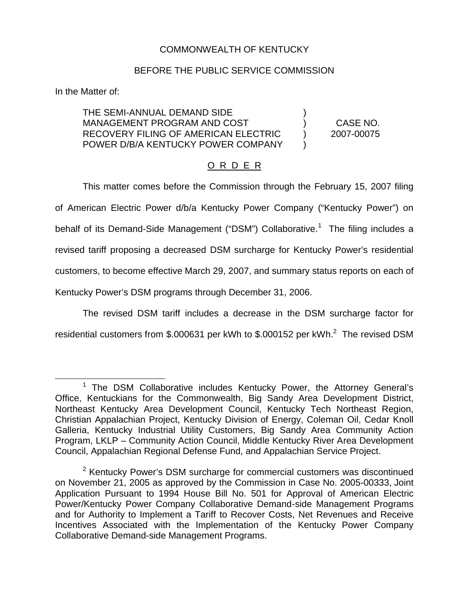## COMMONWEALTH OF KENTUCKY

## BEFORE THE PUBLIC SERVICE COMMISSION

In the Matter of:

THE SEMI-ANNUAL DEMAND SIDE ) MANAGEMENT PROGRAM AND COST ) CASE NO. RECOVERY FILING OF AMERICAN ELECTRIC ) 2007-00075 POWER D/B/A KENTUCKY POWER COMPANY

## O R D E R

This matter comes before the Commission through the February 15, 2007 filing of American Electric Power d/b/a Kentucky Power Company ("Kentucky Power") on behalf of its Demand-Side Management ("DSM") Collaborative.<sup>1</sup> The filing includes a revised tariff proposing a decreased DSM surcharge for Kentucky Power's residential customers, to become effective March 29, 2007, and summary status reports on each of Kentucky Power's DSM programs through December 31, 2006.

The revised DSM tariff includes a decrease in the DSM surcharge factor for residential customers from \$.000631 per kWh to \$.000152 per kWh.<sup>2</sup> The revised DSM

<sup>&</sup>lt;sup>1</sup> The DSM Collaborative includes Kentucky Power, the Attorney General's Office, Kentuckians for the Commonwealth, Big Sandy Area Development District, Northeast Kentucky Area Development Council, Kentucky Tech Northeast Region, Christian Appalachian Project, Kentucky Division of Energy, Coleman Oil, Cedar Knoll Galleria, Kentucky Industrial Utility Customers, Big Sandy Area Community Action Program, LKLP – Community Action Council, Middle Kentucky River Area Development Council, Appalachian Regional Defense Fund, and Appalachian Service Project.

 $2$  Kentucky Power's DSM surcharge for commercial customers was discontinued on November 21, 2005 as approved by the Commission in Case No. 2005-00333, Joint Application Pursuant to 1994 House Bill No. 501 for Approval of American Electric Power/Kentucky Power Company Collaborative Demand-side Management Programs and for Authority to Implement a Tariff to Recover Costs, Net Revenues and Receive Incentives Associated with the Implementation of the Kentucky Power Company Collaborative Demand-side Management Programs.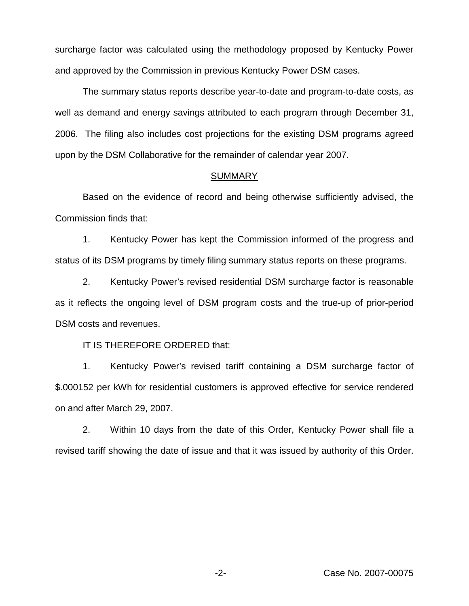surcharge factor was calculated using the methodology proposed by Kentucky Power and approved by the Commission in previous Kentucky Power DSM cases.

The summary status reports describe year-to-date and program-to-date costs, as well as demand and energy savings attributed to each program through December 31, 2006. The filing also includes cost projections for the existing DSM programs agreed upon by the DSM Collaborative for the remainder of calendar year 2007.

## SUMMARY

Based on the evidence of record and being otherwise sufficiently advised, the Commission finds that:

1. Kentucky Power has kept the Commission informed of the progress and status of its DSM programs by timely filing summary status reports on these programs.

2. Kentucky Power's revised residential DSM surcharge factor is reasonable as it reflects the ongoing level of DSM program costs and the true-up of prior-period DSM costs and revenues.

IT IS THEREFORE ORDERED that:

1. Kentucky Power's revised tariff containing a DSM surcharge factor of \$.000152 per kWh for residential customers is approved effective for service rendered on and after March 29, 2007.

2. Within 10 days from the date of this Order, Kentucky Power shall file a revised tariff showing the date of issue and that it was issued by authority of this Order.